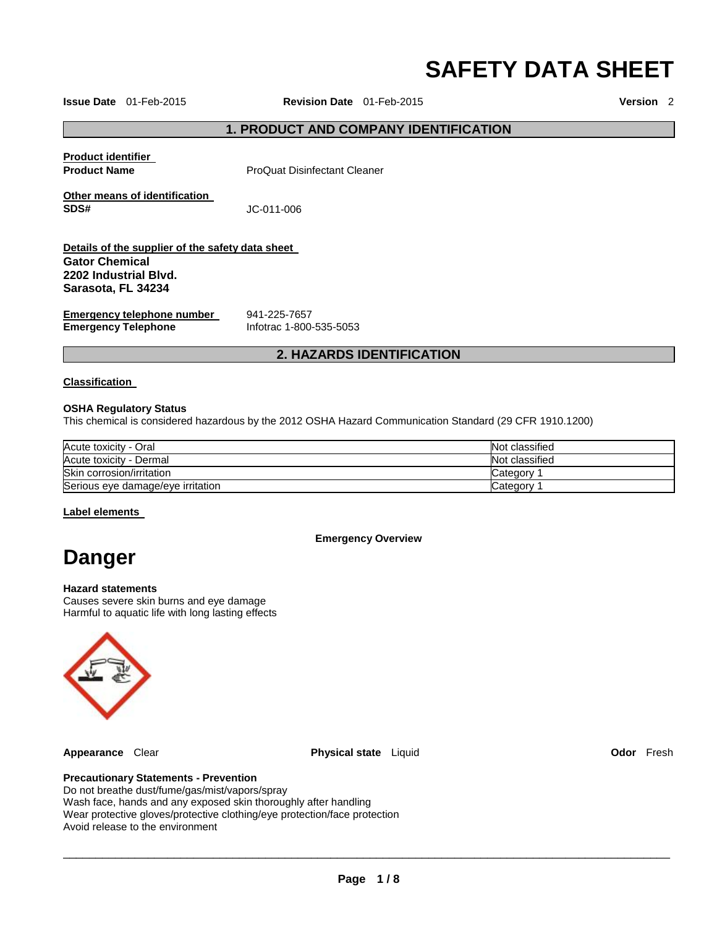# **SAFETY DATA SHEET**

**Issue Date** 01-Feb-2015 **Revision Date** 01-Feb-2015 **Version** 2

# **1. PRODUCT AND COMPANY IDENTIFICATION**

|                                                  | . <del>.</del>               |  |
|--------------------------------------------------|------------------------------|--|
| <b>Emergency Telephone</b>                       | Infotrac 1-800-535-5053      |  |
| Emergency telephone number                       | 941-225-7657                 |  |
| 2202 Industrial Blvd.<br>Sarasota. FL 34234      |                              |  |
| <b>Gator Chemical</b>                            |                              |  |
| Details of the supplier of the safety data sheet |                              |  |
| SDS#                                             | JC-011-006                   |  |
| Other means of identification                    |                              |  |
| <b>Product identifier</b><br><b>Product Name</b> | ProQuat Disinfectant Cleaner |  |
|                                                  |                              |  |

# **2. HAZARDS IDENTIFICATION**

#### **Classification**

#### **OSHA Regulatory Status**

This chemical is considered hazardous by the 2012 OSHA Hazard Communication Standard (29 CFR 1910.1200)

| Acute toxicity - Oral             | Not classified |
|-----------------------------------|----------------|
| Acute toxicity - Dermal           | Not classified |
| Skin corrosion/irritation         | Categorv       |
| Serious eye damage/eye irritation | Category       |

#### **Label elements**

**Emergency Overview** 

# **Danger**

#### **Hazard statements**

Causes severe skin burns and eye damage Harmful to aquatic life with long lasting effects



**Appearance** Clear **Physical state** Liquid **Odor** Fresh

#### **Precautionary Statements - Prevention**

Do not breathe dust/fume/gas/mist/vapors/spray Wash face, hands and any exposed skin thoroughly after handling Wear protective gloves/protective clothing/eye protection/face protection Avoid release to the environment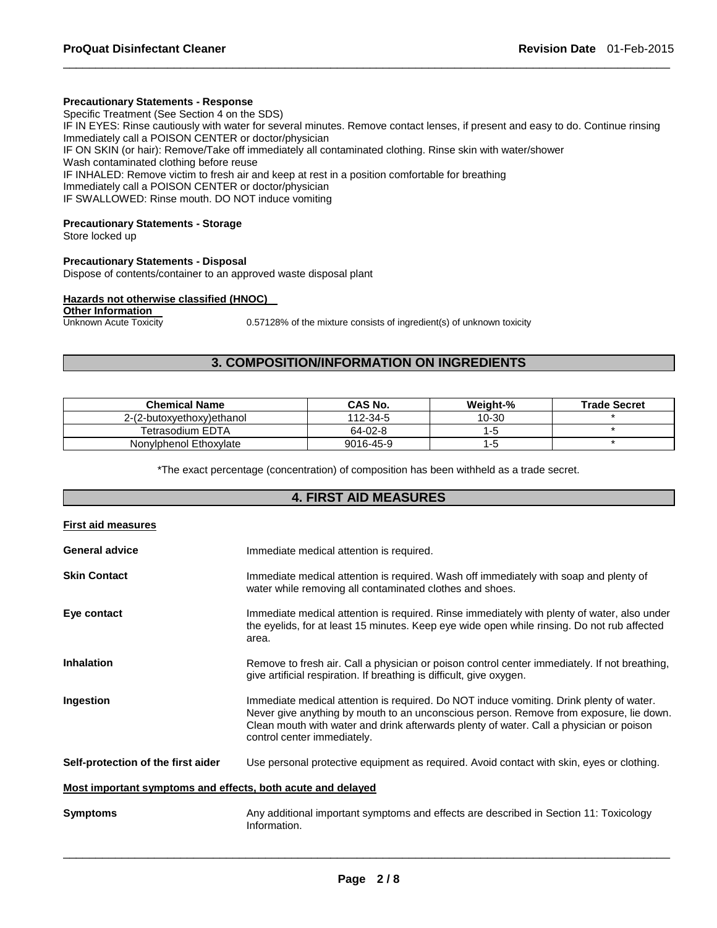#### **Precautionary Statements - Response**

Specific Treatment (See Section 4 on the SDS) IF IN EYES: Rinse cautiously with water for several minutes. Remove contact lenses, if present and easy to do. Continue rinsing Immediately call a POISON CENTER or doctor/physician IF ON SKIN (or hair): Remove/Take off immediately all contaminated clothing. Rinse skin with water/shower Wash contaminated clothing before reuse IF INHALED: Remove victim to fresh air and keep at rest in a position comfortable for breathing Immediately call a POISON CENTER or doctor/physician IF SWALLOWED: Rinse mouth. DO NOT induce vomiting

\_\_\_\_\_\_\_\_\_\_\_\_\_\_\_\_\_\_\_\_\_\_\_\_\_\_\_\_\_\_\_\_\_\_\_\_\_\_\_\_\_\_\_\_\_\_\_\_\_\_\_\_\_\_\_\_\_\_\_\_\_\_\_\_\_\_\_\_\_\_\_\_\_\_\_\_\_\_\_\_\_\_\_\_\_\_\_\_\_\_\_\_\_

#### **Precautionary Statements - Storage**

Store locked up

#### **Precautionary Statements - Disposal**

Dispose of contents/container to an approved waste disposal plant

# **Hazards not otherwise classified (HNOC)**

# **Other Information**<br>Unknown Acute Toxicity

0.57128% of the mixture consists of ingredient(s) of unknown toxicity

# **3. COMPOSITION/INFORMATION ON INGREDIENTS**

| <b>Chemical Name</b>      | CAS No.   | Weight-% | <b>Trade Secret</b> |
|---------------------------|-----------|----------|---------------------|
| 2-(2-butoxyethoxy)ethanol | 112-34-5  | 10-30    |                     |
| Tetrasodium EDTA          | 64-02-8   |          |                     |
| Nonylphenol Ethoxylate    | 9016-45-9 |          |                     |

\*The exact percentage (concentration) of composition has been withheld as a trade secret.

# **4. FIRST AID MEASURES**

| <b>First aid measures</b>                                   |                                                                                                                                                                                                                                                                                                             |  |
|-------------------------------------------------------------|-------------------------------------------------------------------------------------------------------------------------------------------------------------------------------------------------------------------------------------------------------------------------------------------------------------|--|
| <b>General advice</b>                                       | Immediate medical attention is required.                                                                                                                                                                                                                                                                    |  |
| <b>Skin Contact</b>                                         | Immediate medical attention is required. Wash off immediately with soap and plenty of<br>water while removing all contaminated clothes and shoes.                                                                                                                                                           |  |
| Eye contact                                                 | Immediate medical attention is required. Rinse immediately with plenty of water, also under<br>the eyelids, for at least 15 minutes. Keep eye wide open while rinsing. Do not rub affected<br>area.                                                                                                         |  |
| <b>Inhalation</b>                                           | Remove to fresh air. Call a physician or poison control center immediately. If not breathing,<br>give artificial respiration. If breathing is difficult, give oxygen.                                                                                                                                       |  |
| Ingestion                                                   | Immediate medical attention is required. Do NOT induce vomiting. Drink plenty of water.<br>Never give anything by mouth to an unconscious person. Remove from exposure, lie down.<br>Clean mouth with water and drink afterwards plenty of water. Call a physician or poison<br>control center immediately. |  |
| Self-protection of the first aider                          | Use personal protective equipment as required. Avoid contact with skin, eyes or clothing.                                                                                                                                                                                                                   |  |
| Most important symptoms and effects, both acute and delayed |                                                                                                                                                                                                                                                                                                             |  |
| <b>Symptoms</b>                                             | Any additional important symptoms and effects are described in Section 11: Toxicology<br>Information.                                                                                                                                                                                                       |  |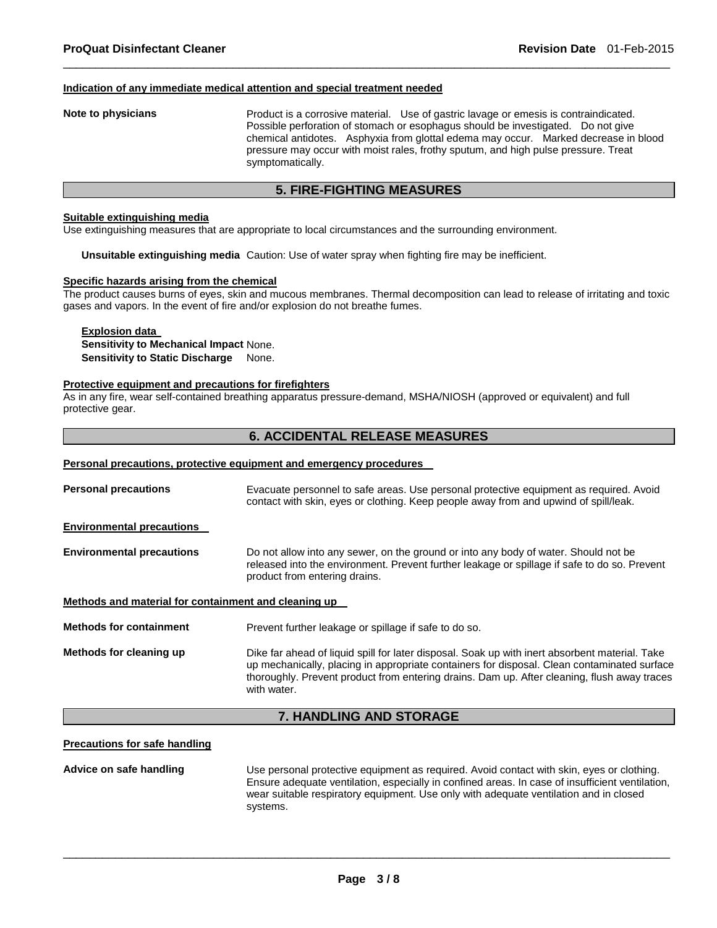#### **Indication of any immediate medical attention and special treatment needed**

**Note to physicians** Product is a corrosive material. Use of gastric lavage or emesis is contraindicated. Possible perforation of stomach or esophagus should be investigated. Do not give chemical antidotes. Asphyxia from glottal edema may occur. Marked decrease in blood pressure may occur with moist rales, frothy sputum, and high pulse pressure. Treat symptomatically.

# **5. FIRE-FIGHTING MEASURES**

\_\_\_\_\_\_\_\_\_\_\_\_\_\_\_\_\_\_\_\_\_\_\_\_\_\_\_\_\_\_\_\_\_\_\_\_\_\_\_\_\_\_\_\_\_\_\_\_\_\_\_\_\_\_\_\_\_\_\_\_\_\_\_\_\_\_\_\_\_\_\_\_\_\_\_\_\_\_\_\_\_\_\_\_\_\_\_\_\_\_\_\_\_

#### **Suitable extinguishing media**

Use extinguishing measures that are appropriate to local circumstances and the surrounding environment.

**Unsuitable extinguishing media** Caution: Use of water spray when fighting fire may be inefficient.

#### **Specific hazards arising from the chemical**

The product causes burns of eyes, skin and mucous membranes. Thermal decomposition can lead to release of irritating and toxic gases and vapors. In the event of fire and/or explosion do not breathe fumes.

#### **Explosion data Sensitivity to Mechanical Impact** None. **Sensitivity to Static Discharge** None.

#### **Protective equipment and precautions for firefighters**

As in any fire, wear self-contained breathing apparatus pressure-demand, MSHA/NIOSH (approved or equivalent) and full protective gear.

### **6. ACCIDENTAL RELEASE MEASURES**

#### **Personal precautions, protective equipment and emergency procedures**

| Evacuate personnel to safe areas. Use personal protective equipment as required. Avoid<br>contact with skin, eyes or clothing. Keep people away from and upwind of spill/leak.                                                                                                                              |
|-------------------------------------------------------------------------------------------------------------------------------------------------------------------------------------------------------------------------------------------------------------------------------------------------------------|
|                                                                                                                                                                                                                                                                                                             |
| Do not allow into any sewer, on the ground or into any body of water. Should not be<br>released into the environment. Prevent further leakage or spillage if safe to do so. Prevent<br>product from entering drains.                                                                                        |
| Methods and material for containment and cleaning up                                                                                                                                                                                                                                                        |
| Prevent further leakage or spillage if safe to do so.                                                                                                                                                                                                                                                       |
| Dike far ahead of liquid spill for later disposal. Soak up with inert absorbent material. Take<br>up mechanically, placing in appropriate containers for disposal. Clean contaminated surface<br>thoroughly. Prevent product from entering drains. Dam up. After cleaning, flush away traces<br>with water. |
|                                                                                                                                                                                                                                                                                                             |

# **7. HANDLING AND STORAGE**

#### **Precautions for safe handling**

**Advice on safe handling** Use personal protective equipment as required. Avoid contact with skin, eyes or clothing. Ensure adequate ventilation, especially in confined areas. In case of insufficient ventilation, wear suitable respiratory equipment. Use only with adequate ventilation and in closed systems.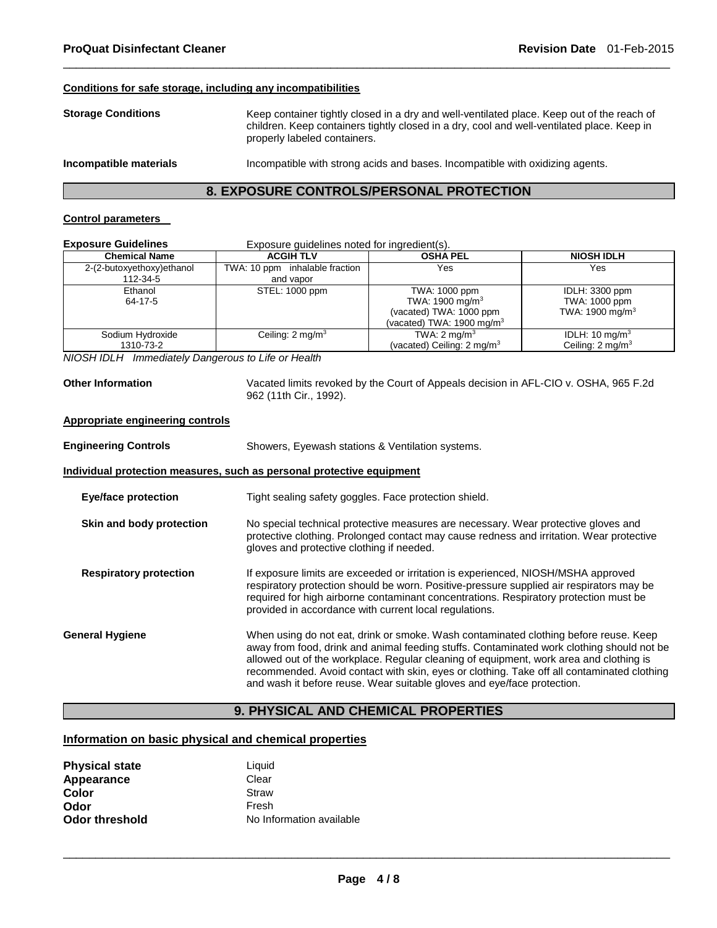#### **Conditions for safe storage, including any incompatibilities**

| <b>Storage Conditions</b> | Keep container tightly closed in a dry and well-ventilated place. Keep out of the reach of<br>children. Keep containers tightly closed in a dry, cool and well-ventilated place. Keep in<br>properly labeled containers. |
|---------------------------|--------------------------------------------------------------------------------------------------------------------------------------------------------------------------------------------------------------------------|
| Incompatible materials    | Incompatible with strong acids and bases. Incompatible with oxidizing agents.                                                                                                                                            |

\_\_\_\_\_\_\_\_\_\_\_\_\_\_\_\_\_\_\_\_\_\_\_\_\_\_\_\_\_\_\_\_\_\_\_\_\_\_\_\_\_\_\_\_\_\_\_\_\_\_\_\_\_\_\_\_\_\_\_\_\_\_\_\_\_\_\_\_\_\_\_\_\_\_\_\_\_\_\_\_\_\_\_\_\_\_\_\_\_\_\_\_\_

# **8. EXPOSURE CONTROLS/PERSONAL PROTECTION**

#### **Control parameters**

| <b>Exposure Guidelines</b>            | Exposure guidelines noted for ingredient(s). |                                                                                                                  |                                                                |
|---------------------------------------|----------------------------------------------|------------------------------------------------------------------------------------------------------------------|----------------------------------------------------------------|
| <b>Chemical Name</b>                  | <b>ACGIH TLV</b>                             | <b>OSHA PEL</b>                                                                                                  | <b>NIOSH IDLH</b>                                              |
| 2-(2-butoxyethoxy)ethanol<br>112-34-5 | TWA: 10 ppm inhalable fraction<br>and vapor  | Yes                                                                                                              | Yes                                                            |
| Ethanol<br>64-17-5                    | STEL: 1000 ppm                               | TWA: 1000 ppm<br>TWA: 1900 mg/m <sup>3</sup><br>(vacated) TWA: 1000 ppm<br>(vacated) TWA: 1900 mg/m <sup>3</sup> | IDLH: 3300 ppm<br>TWA: 1000 ppm<br>TWA: 1900 mg/m <sup>3</sup> |
| Sodium Hydroxide<br>1310-73-2         | Ceiling: $2 \text{ mg/m}^3$                  | TWA: $2 \text{ mg/m}^3$<br>(vacated) Ceiling: 2 mg/m <sup>3</sup>                                                | IDLH: $10 \text{ mg/m}^3$<br>Ceiling: 2 mg/m <sup>3</sup>      |

*NIOSH IDLH Immediately Dangerous to Life or Health* 

**Other Information** Vacated limits revoked by the Court of Appeals decision in AFL-CIO v. OSHA, 965 F.2d 962 (11th Cir., 1992).

#### **Appropriate engineering controls**

| <b>Engineering Controls</b>   | Showers, Eyewash stations & Ventilation systems.                                                                                                                                                                                                                                                                                                                                                                                                     |
|-------------------------------|------------------------------------------------------------------------------------------------------------------------------------------------------------------------------------------------------------------------------------------------------------------------------------------------------------------------------------------------------------------------------------------------------------------------------------------------------|
|                               | Individual protection measures, such as personal protective equipment                                                                                                                                                                                                                                                                                                                                                                                |
| Eye/face protection           | Tight sealing safety goggles. Face protection shield.                                                                                                                                                                                                                                                                                                                                                                                                |
| Skin and body protection      | No special technical protective measures are necessary. Wear protective gloves and<br>protective clothing. Prolonged contact may cause redness and irritation. Wear protective<br>gloves and protective clothing if needed.                                                                                                                                                                                                                          |
| <b>Respiratory protection</b> | If exposure limits are exceeded or irritation is experienced, NIOSH/MSHA approved<br>respiratory protection should be worn. Positive-pressure supplied air respirators may be<br>required for high airborne contaminant concentrations. Respiratory protection must be<br>provided in accordance with current local regulations.                                                                                                                     |
| <b>General Hygiene</b>        | When using do not eat, drink or smoke. Wash contaminated clothing before reuse. Keep<br>away from food, drink and animal feeding stuffs. Contaminated work clothing should not be<br>allowed out of the workplace. Regular cleaning of equipment, work area and clothing is<br>recommended. Avoid contact with skin, eyes or clothing. Take off all contaminated clothing<br>and wash it before reuse. Wear suitable gloves and eye/face protection. |

# **9. PHYSICAL AND CHEMICAL PROPERTIES**

### **Information on basic physical and chemical properties**

| <b>Physical state</b> | Liquid                   |
|-----------------------|--------------------------|
| Appearance            | Clear                    |
| Color                 | Straw                    |
| Odor                  | Fresh                    |
| <b>Odor threshold</b> | No Information available |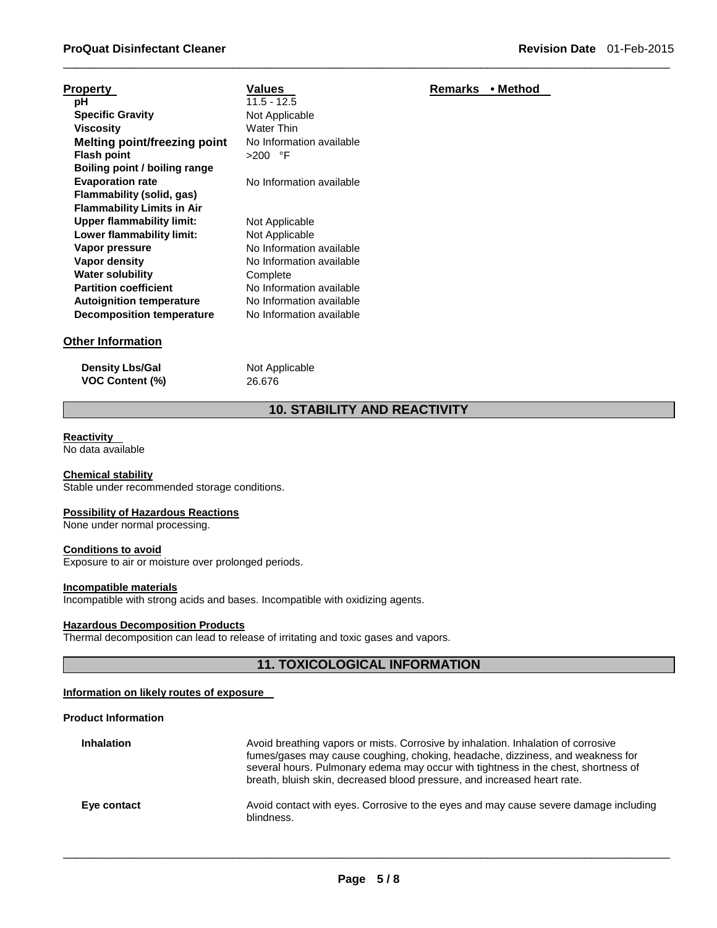| рH                                |
|-----------------------------------|
| <b>Specific Gravity</b>           |
| Viscosity                         |
| Melting point/freezing point      |
| <b>Flash point</b>                |
| Boiling point / boiling range     |
| <b>Evaporation rate</b>           |
| Flammability (solid, gas)         |
| <b>Flammability Limits in Air</b> |
| <b>Upper flammability limit:</b>  |
| Lower flammability limit:         |
| Vapor pressure                    |
| Vapor density                     |
| <b>Water solubility</b>           |
| <b>Partition coefficient</b>      |
| <b>Autoignition temperature</b>   |
| <b>Decomposition temperature</b>  |

**pH** 11.5 - 12.5 **Not Applicable Viscosity** Water Thin **No Information available Flash point** >200 °F **No Information available Not Applicable Not Applicable No Information available** 

**No Information available** 

**No Information available Autoignition temperature** No Information available **No Information available** 

# **Other Information**

**Density Lbs/Gal** Not Applicable **VOC Content (%)** 26.676

**Complete** 

# **10. STABILITY AND REACTIVITY**

\_\_\_\_\_\_\_\_\_\_\_\_\_\_\_\_\_\_\_\_\_\_\_\_\_\_\_\_\_\_\_\_\_\_\_\_\_\_\_\_\_\_\_\_\_\_\_\_\_\_\_\_\_\_\_\_\_\_\_\_\_\_\_\_\_\_\_\_\_\_\_\_\_\_\_\_\_\_\_\_\_\_\_\_\_\_\_\_\_\_\_\_\_

## **Reactivity**

No data available

#### **Chemical stability** Stable under recommended storage conditions.

# **Possibility of Hazardous Reactions**

None under normal processing.

#### **Conditions to avoid**

Exposure to air or moisture over prolonged periods.

#### **Incompatible materials**

Incompatible with strong acids and bases. Incompatible with oxidizing agents.

# **Hazardous Decomposition Products**

Thermal decomposition can lead to release of irritating and toxic gases and vapors.

# **11. TOXICOLOGICAL INFORMATION**

#### **Information on likely routes of exposure**

### **Product Information**

| <b>Inhalation</b> | Avoid breathing vapors or mists. Corrosive by inhalation. Inhalation of corrosive<br>fumes/gases may cause coughing, choking, headache, dizziness, and weakness for<br>several hours. Pulmonary edema may occur with tightness in the chest, shortness of<br>breath, bluish skin, decreased blood pressure, and increased heart rate. |
|-------------------|---------------------------------------------------------------------------------------------------------------------------------------------------------------------------------------------------------------------------------------------------------------------------------------------------------------------------------------|
| Eye contact       | Avoid contact with eyes. Corrosive to the eyes and may cause severe damage including<br>blindness.                                                                                                                                                                                                                                    |

\_\_\_\_\_\_\_\_\_\_\_\_\_\_\_\_\_\_\_\_\_\_\_\_\_\_\_\_\_\_\_\_\_\_\_\_\_\_\_\_\_\_\_\_\_\_\_\_\_\_\_\_\_\_\_\_\_\_\_\_\_\_\_\_\_\_\_\_\_\_\_\_\_\_\_\_\_\_\_\_\_\_\_\_\_\_\_\_\_\_\_\_\_

# **Property Construction Construction Values According Property Construction Values**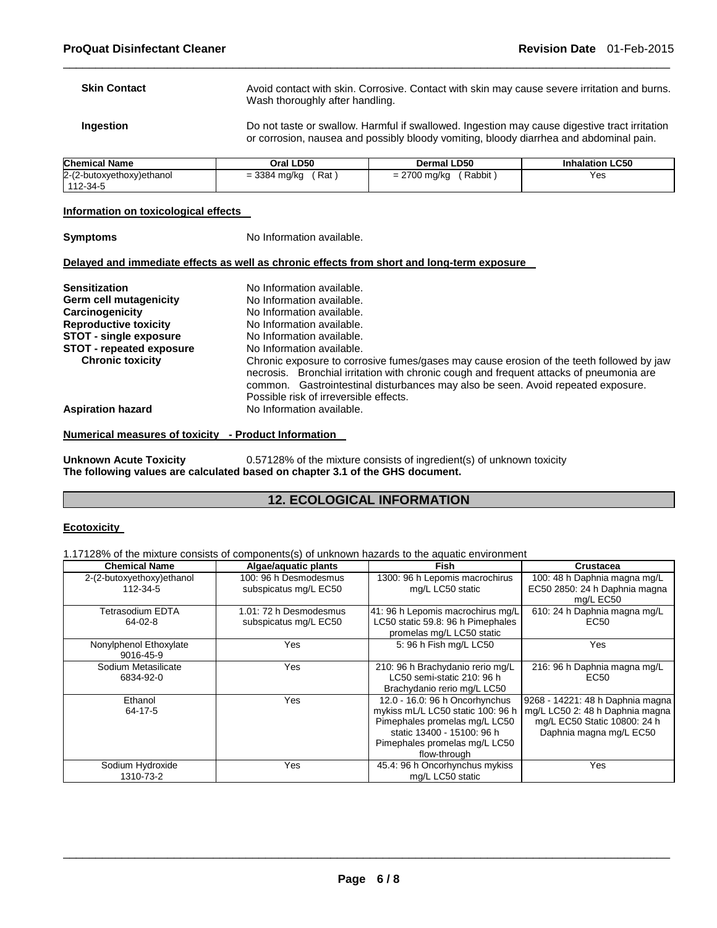| <b>Skin Contact</b> | Avoid contact with skin. Corrosive. Contact with skin may cause severe irritation and burns.<br>Wash thoroughly after handling.                                                         |
|---------------------|-----------------------------------------------------------------------------------------------------------------------------------------------------------------------------------------|
| <b>Ingestion</b>    | Do not taste or swallow. Harmful if swallowed. Ingestion may cause digestive tract irritation<br>or corrosion, nausea and possibly bloody vomiting, bloody diarrhea and abdominal pain. |

\_\_\_\_\_\_\_\_\_\_\_\_\_\_\_\_\_\_\_\_\_\_\_\_\_\_\_\_\_\_\_\_\_\_\_\_\_\_\_\_\_\_\_\_\_\_\_\_\_\_\_\_\_\_\_\_\_\_\_\_\_\_\_\_\_\_\_\_\_\_\_\_\_\_\_\_\_\_\_\_\_\_\_\_\_\_\_\_\_\_\_\_\_

| <b>Chemical Name</b>      | Oral LD50    | Dermal LD50    | <b>Inhalation LC50</b> |  |  |
|---------------------------|--------------|----------------|------------------------|--|--|
| 2-(2-butoxyethoxy)ethanol | ิ Rat        | Rabbit         | Yes                    |  |  |
| 112-34-5                  | = 3384 mg/kg | $= 2700$ mg/kg |                        |  |  |

### **Information on toxicological effects**

| <b>Symptoms</b> |
|-----------------|
|-----------------|

**Symptoms No Information available.** 

#### **Delayed and immediate effects as well as chronic effects from short and long-term exposure**

| <b>Sensitization</b>            | No Information available.                                                                                                                                                                                                                                                                                         |  |  |  |
|---------------------------------|-------------------------------------------------------------------------------------------------------------------------------------------------------------------------------------------------------------------------------------------------------------------------------------------------------------------|--|--|--|
| Germ cell mutagenicity          | No Information available.                                                                                                                                                                                                                                                                                         |  |  |  |
| Carcinogenicity                 | No Information available.                                                                                                                                                                                                                                                                                         |  |  |  |
| <b>Reproductive toxicity</b>    | No Information available.                                                                                                                                                                                                                                                                                         |  |  |  |
| <b>STOT - single exposure</b>   | No Information available.                                                                                                                                                                                                                                                                                         |  |  |  |
| <b>STOT - repeated exposure</b> | No Information available.                                                                                                                                                                                                                                                                                         |  |  |  |
| <b>Chronic toxicity</b>         | Chronic exposure to corrosive fumes/gases may cause erosion of the teeth followed by jaw<br>necrosis. Bronchial irritation with chronic cough and frequent attacks of pneumonia are<br>common. Gastrointestinal disturbances may also be seen. Avoid repeated exposure.<br>Possible risk of irreversible effects. |  |  |  |
| <b>Aspiration hazard</b>        | No Information available.                                                                                                                                                                                                                                                                                         |  |  |  |

#### **Numerical measures of toxicity - Product Information**

**Unknown Acute Toxicity** 0.57128% of the mixture consists of ingredient(s) of unknown toxicity **The following values are calculated based on chapter 3.1 of the GHS document.**

# **12. ECOLOGICAL INFORMATION**

# **Ecotoxicity**

1.17128% of the mixture consists of components(s) of unknown hazards to the aquatic environment

| <b>Chemical Name</b>      | Algae/aquatic plants   | <b>Fish</b>                       | <b>Crustacea</b>                 |  |  |
|---------------------------|------------------------|-----------------------------------|----------------------------------|--|--|
| 2-(2-butoxyethoxy)ethanol | 100: 96 h Desmodesmus  | 1300: 96 h Lepomis macrochirus    | 100: 48 h Daphnia magna mg/L     |  |  |
| 112-34-5                  | subspicatus mg/L EC50  | mg/L LC50 static                  | EC50 2850: 24 h Daphnia magna    |  |  |
|                           |                        |                                   | mg/L EC50                        |  |  |
| Tetrasodium EDTA          | 1.01: 72 h Desmodesmus | 41: 96 h Lepomis macrochirus mg/L | 610: 24 h Daphnia magna mg/L     |  |  |
| 64-02-8                   | subspicatus mg/L EC50  | LC50 static 59.8: 96 h Pimephales | EC50                             |  |  |
|                           |                        | promelas mg/L LC50 static         |                                  |  |  |
| Nonylphenol Ethoxylate    | Yes                    | 5: 96 h Fish mg/L LC50            | Yes                              |  |  |
| 9016-45-9                 |                        |                                   |                                  |  |  |
| Sodium Metasilicate       | Yes                    | 210: 96 h Brachydanio rerio mg/L  | 216: 96 h Daphnia magna mg/L     |  |  |
| 6834-92-0                 |                        | LC50 semi-static 210: 96 h        | EC50                             |  |  |
|                           |                        | Brachydanio rerio mg/L LC50       |                                  |  |  |
| Ethanol                   | Yes                    | 12.0 - 16.0: 96 h Oncorhynchus    | 9268 - 14221: 48 h Daphnia magna |  |  |
| 64-17-5                   |                        | mykiss mL/L LC50 static 100: 96 h | mg/L LC50 2: 48 h Daphnia magna  |  |  |
|                           |                        | Pimephales promelas mg/L LC50     | mg/L EC50 Static 10800: 24 h     |  |  |
|                           |                        | static 13400 - 15100: 96 h        | Daphnia magna mg/L EC50          |  |  |
|                           |                        | Pimephales promelas mg/L LC50     |                                  |  |  |
|                           |                        | flow-through                      |                                  |  |  |
| Sodium Hydroxide          | Yes                    | 45.4: 96 h Oncorhynchus mykiss    | Yes                              |  |  |
| 1310-73-2                 |                        | mg/L LC50 static                  |                                  |  |  |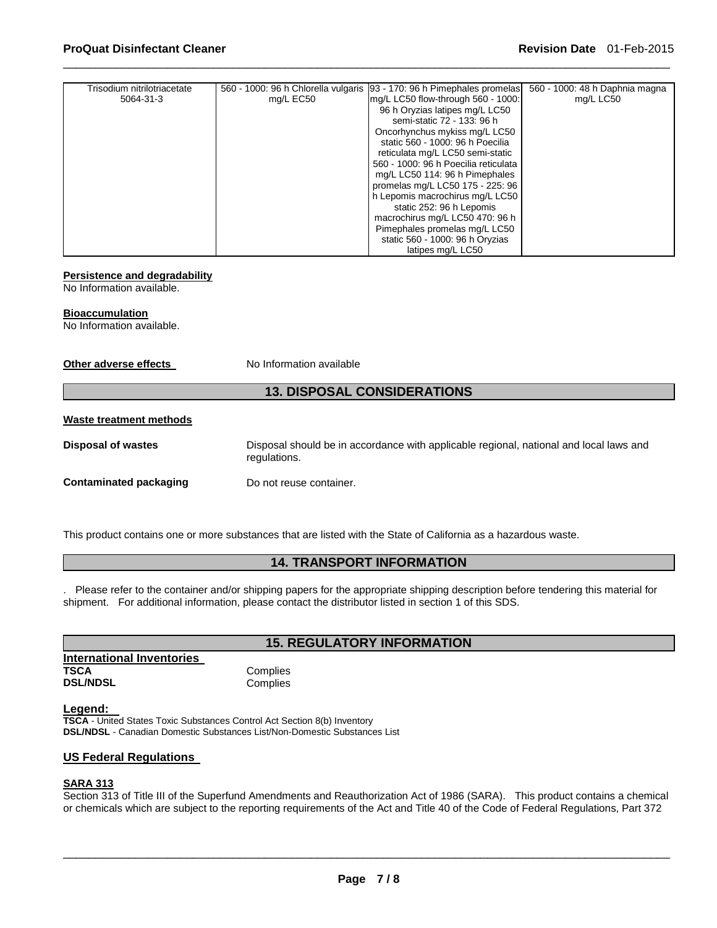| Trisodium nitrilotriacetate |           | 560 - 1000: 96 h Chlorella vulgaris [93 - 170: 96 h Pimephales promelas] | 560 - 1000: 48 h Daphnia magna |
|-----------------------------|-----------|--------------------------------------------------------------------------|--------------------------------|
| 5064-31-3                   | mg/L EC50 | mg/L LC50 flow-through 560 - 1000:                                       | mg/L LC50                      |
|                             |           | 96 h Oryzias latipes mg/L LC50                                           |                                |
|                             |           | semi-static 72 - 133: 96 h                                               |                                |
|                             |           | Oncorhynchus mykiss mg/L LC50                                            |                                |
|                             |           | static 560 - 1000: 96 h Poecilia                                         |                                |
|                             |           | reticulata mg/L LC50 semi-static                                         |                                |
|                             |           | 560 - 1000: 96 h Poecilia reticulata                                     |                                |
|                             |           | mg/L LC50 114: 96 h Pimephales                                           |                                |
|                             |           | promelas mg/L LC50 175 - 225: 96                                         |                                |
|                             |           | h Lepomis macrochirus mg/L LC50                                          |                                |
|                             |           | static 252: 96 h Lepomis                                                 |                                |
|                             |           | macrochirus mg/L LC50 470: 96 h                                          |                                |
|                             |           | Pimephales promelas mg/L LC50                                            |                                |
|                             |           | static 560 - 1000: 96 h Oryzias                                          |                                |
|                             |           | latipes mg/L LC50                                                        |                                |

\_\_\_\_\_\_\_\_\_\_\_\_\_\_\_\_\_\_\_\_\_\_\_\_\_\_\_\_\_\_\_\_\_\_\_\_\_\_\_\_\_\_\_\_\_\_\_\_\_\_\_\_\_\_\_\_\_\_\_\_\_\_\_\_\_\_\_\_\_\_\_\_\_\_\_\_\_\_\_\_\_\_\_\_\_\_\_\_\_\_\_\_\_

# **Persistence and degradability**

No Information available.

#### **Bioaccumulation**

No Information available.

**Other adverse effects** No Information available

# **13. DISPOSAL CONSIDERATIONS**

#### **Waste treatment methods**

**Disposal of wastes** Disposal should be in accordance with applicable regional, national and local laws and regulations.

**Contaminated packaging by Do not reuse container.** 

This product contains one or more substances that are listed with the State of California as a hazardous waste.

# **14. TRANSPORT INFORMATION**

. Please refer to the container and/or shipping papers for the appropriate shipping description before tendering this material for shipment. For additional information, please contact the distributor listed in section 1 of this SDS.

# **15. REGULATORY INFORMATION**

| <b>International Inventories</b> |  |
|----------------------------------|--|
| TSCA                             |  |
| <b>DSL/NDSL</b>                  |  |

# **Complies**

**Complies** 

#### **Legend:**

**TSCA** - United States Toxic Substances Control Act Section 8(b) Inventory **DSL/NDSL** - Canadian Domestic Substances List/Non-Domestic Substances List

# **US Federal Regulations**

#### **SARA 313**

Section 313 of Title III of the Superfund Amendments and Reauthorization Act of 1986 (SARA). This product contains a chemical or chemicals which are subject to the reporting requirements of the Act and Title 40 of the Code of Federal Regulations, Part 372